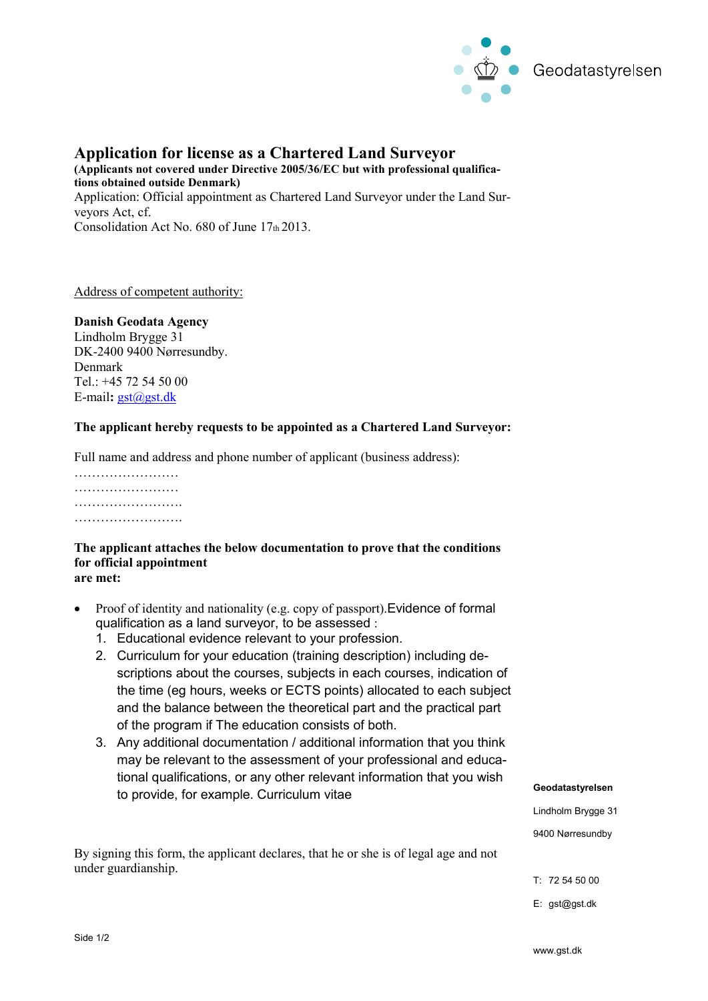

## **Application for license as a Chartered Land Surveyor**

**(Applicants not covered under Directive 2005/36/EC but with professional qualifications obtained outside Denmark)** Application: Official appointment as Chartered Land Surveyor under the Land Surveyors Act, cf. Consolidation Act No. 680 of June 17th 2013.

Address of competent authority:

## **Danish Geodata Agency**

Lindholm Brygge 31 DK-2400 9400 Nørresundby. Denmark Tel.: +45 72 54 50 00 E-mail**:** [gst@gst.dk](mailto:gst@gst.dk)

## **The applicant hereby requests to be appointed as a Chartered Land Surveyor:**

Full name and address and phone number of applicant (business address):

………………………… …………………… ……………………. …………………….

## **The applicant attaches the below documentation to prove that the conditions for official appointment**

- **are met:**
- Proof of identity and nationality (e.g. copy of passport).Evidence of formal qualification as a land surveyor, to be assessed :
	- 1. Educational evidence relevant to your profession.
	- 2. Curriculum for your education (training description) including descriptions about the courses, subjects in each courses, indication of the time (eg hours, weeks or ECTS points) allocated to each subject and the balance between the theoretical part and the practical part of the program if The education consists of both.
	- 3. Any additional documentation / additional information that you think may be relevant to the assessment of your professional and educational qualifications, or any other relevant information that you wish to provide, for example. Curriculum vitae

By signing this form, the applicant declares, that he or she is of legal age and not under guardianship.

**Geodatastyrelsen**

Lindholm Brygge 31

9400 Nørresundby

E: gst@gst.dk

T: 72 54 50 00